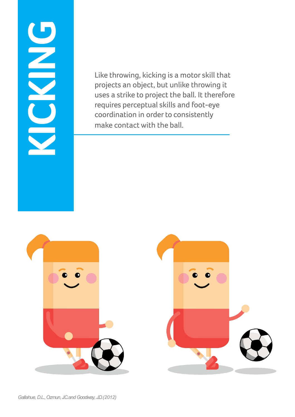# **KICKING**

Like throwing, kicking is a motor skill that projects an object, but unlike throwing it uses a strike to project the ball. It therefore requires perceptual skills and foot-eye coordination in order to consistently make contact with the ball.



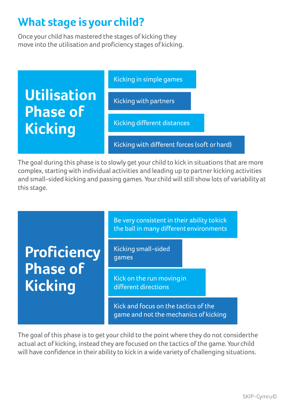### **What stage is your child?**

Once your child has mastered the stages of kicking they move into the utilisation and proficiency stages of kicking.



The goal during this phase is to slowly get your child to kick in situations that are more complex, starting with individual activities and leading up to partner kicking activities and small-sided kicking and passing games. Your child will still show lots of variabilityat this stage.



The goal of this phase is to get your child to the point where they do not considerthe actual act of kicking, instead they are focused on the tactics of the game. Your child will have confidence in their ability to kick in awide variety of challenging situations.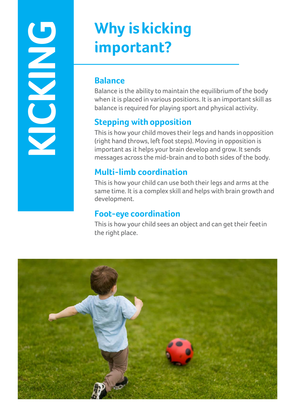# **KICKING**

# **Why iskicking important?**

### **Balance**

Balance is the ability to maintain the equilibrium of the body when it is placed in various positions. It is an important skill as balance is required for playing sport and physical activity.

### **Stepping with opposition**

This is how your child moves their legs and hands inopposition (right hand throws, left foot steps). Moving in opposition is important as it helps your brain develop and grow. It sends messages across the mid-brain and to both sides of the body.

### **Multi-limb coordination**

This is how your child can use both their legs and arms at the same time. It is a complex skill and helps with brain growth and development.

### **Foot-eye coordination**

This is how your child sees an object and can get their feetin the right place.

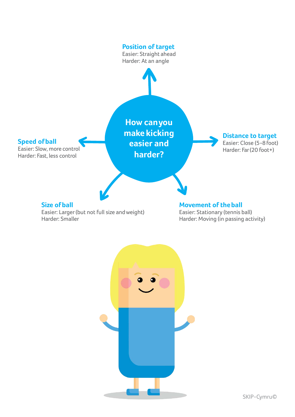



SKIP-Cymru©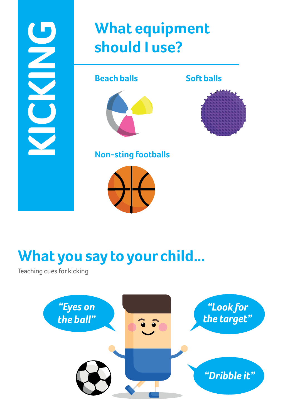# **What equipment should I use?**

**Beach balls**



**Soft balls**



**Non-sting footballs**



# **What you say to your child...**

Teaching cues for kicking

 $\overline{\mathbf{z}}$